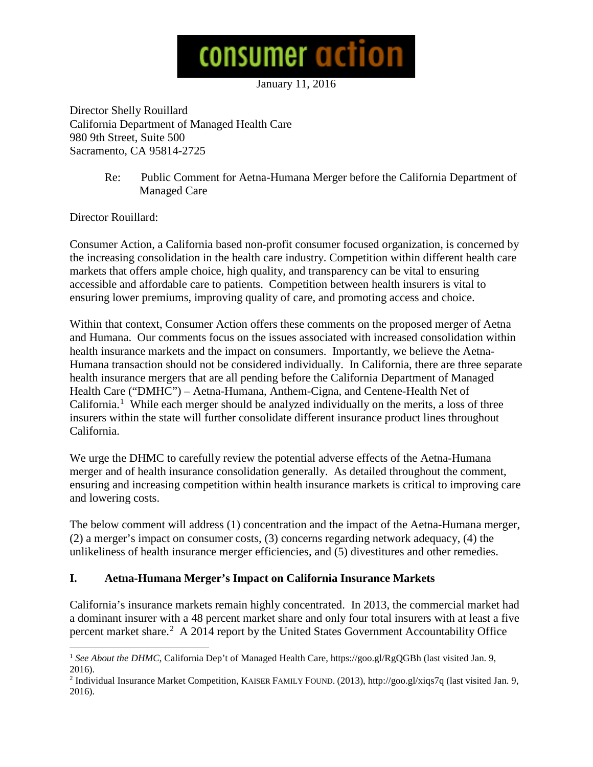

January 11, 2016

Director Shelly Rouillard California Department of Managed Health Care 980 9th Street, Suite 500 Sacramento, CA 95814-2725

> Re: Public Comment for Aetna-Humana Merger before the California Department of Managed Care

Director Rouillard:

Consumer Action, a California based non-profit consumer focused organization, is concerned by the increasing consolidation in the health care industry. Competition within different health care markets that offers ample choice, high quality, and transparency can be vital to ensuring accessible and affordable care to patients. Competition between health insurers is vital to ensuring lower premiums, improving quality of care, and promoting access and choice.

Within that context, Consumer Action offers these comments on the proposed merger of Aetna and Humana. Our comments focus on the issues associated with increased consolidation within health insurance markets and the impact on consumers. Importantly, we believe the Aetna-Humana transaction should not be considered individually. In California, there are three separate health insurance mergers that are all pending before the California Department of Managed Health Care ("DMHC") – Aetna-Humana, Anthem-Cigna, and Centene-Health Net of California.<sup>[1](#page-0-0)</sup> While each merger should be analyzed individually on the merits, a loss of three insurers within the state will further consolidate different insurance product lines throughout California.

We urge the DHMC to carefully review the potential adverse effects of the Aetna-Humana merger and of health insurance consolidation generally. As detailed throughout the comment, ensuring and increasing competition within health insurance markets is critical to improving care and lowering costs.

The below comment will address (1) concentration and the impact of the Aetna-Humana merger, (2) a merger's impact on consumer costs, (3) concerns regarding network adequacy, (4) the unlikeliness of health insurance merger efficiencies, and (5) divestitures and other remedies.

## **I. Aetna-Humana Merger's Impact on California Insurance Markets**

California's insurance markets remain highly concentrated. In 2013, the commercial market had a dominant insurer with a 48 percent market share and only four total insurers with at least a five percent market share.[2](#page-0-1) A 2014 report by the United States Government Accountability Office

<span id="page-0-0"></span><sup>&</sup>lt;sup>1</sup> See About the DHMC, California Dep't of Managed Health Care, https://goo.gl/RgQGBh (last visited Jan. 9, 2016).

<span id="page-0-1"></span><sup>2</sup> Individual Insurance Market Competition, KAISER FAMILY FOUND. (2013), http://goo.gl/xiqs7q (last visited Jan. 9, 2016).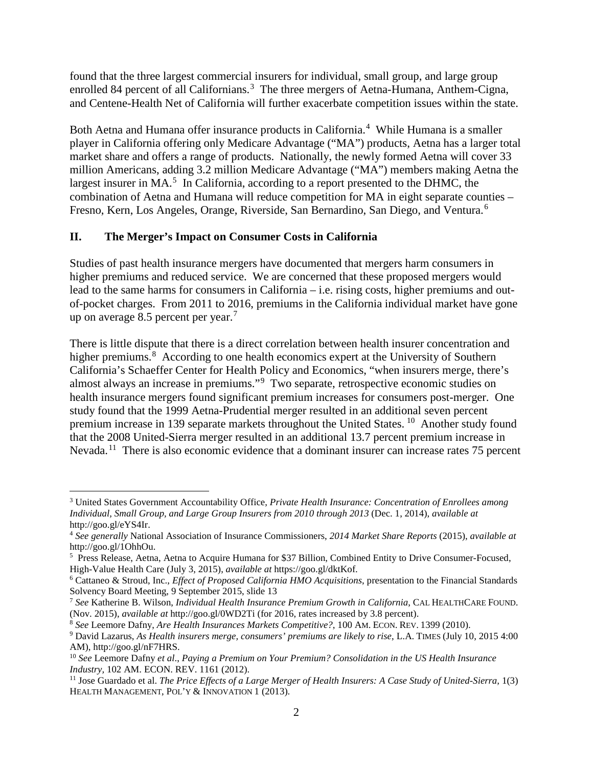found that the three largest commercial insurers for individual, small group, and large group enrolled 84 percent of all Californians.<sup>[3](#page-1-0)</sup> The three mergers of Aetna-Humana, Anthem-Cigna, and Centene-Health Net of California will further exacerbate competition issues within the state.

Both Aetna and Humana offer insurance products in California.<sup>[4](#page-1-1)</sup> While Humana is a smaller player in California offering only Medicare Advantage ("MA") products, Aetna has a larger total market share and offers a range of products. Nationally, the newly formed Aetna will cover 33 million Americans, adding 3.2 million Medicare Advantage ("MA") members making Aetna the largest insurer in MA.<sup>[5](#page-1-2)</sup> In California, according to a report presented to the DHMC, the combination of Aetna and Humana will reduce competition for MA in eight separate counties – Fresno, Kern, Los Angeles, Orange, Riverside, San Bernardino, San Diego, and Ventura.[6](#page-1-3)

## **II. The Merger's Impact on Consumer Costs in California**

Studies of past health insurance mergers have documented that mergers harm consumers in higher premiums and reduced service. We are concerned that these proposed mergers would lead to the same harms for consumers in California – i.e. rising costs, higher premiums and outof-pocket charges. From 2011 to 2016, premiums in the California individual market have gone up on average 8.5 percent per year.<sup>[7](#page-1-4)</sup>

There is little dispute that there is a direct correlation between health insurer concentration and higher premiums.<sup>[8](#page-1-5)</sup> According to one health economics expert at the University of Southern California's Schaeffer Center for Health Policy and Economics, "when insurers merge, there's almost always an increase in premiums."<sup>[9](#page-1-6)</sup> Two separate, retrospective economic studies on health insurance mergers found significant premium increases for consumers post-merger. One study found that the 1999 Aetna-Prudential merger resulted in an additional seven percent premium increase in 139 separate markets throughout the United States. [10](#page-1-7) Another study found that the 2008 United-Sierra merger resulted in an additional 13.7 percent premium increase in Nevada.<sup>[11](#page-1-8)</sup> There is also economic evidence that a dominant insurer can increase rates 75 percent

<span id="page-1-0"></span> <sup>3</sup> United States Government Accountability Office, *Private Health Insurance: Concentration of Enrollees among Individual, Small Group, and Large Group Insurers from 2010 through 2013* (Dec. 1, 2014), *available at*  http://goo.gl/eYS4Ir.

<span id="page-1-1"></span><sup>4</sup> *See generally* National Association of Insurance Commissioners, *2014 Market Share Reports* (2015), *available at*  http://goo.gl/1OhhOu.

<span id="page-1-2"></span><sup>&</sup>lt;sup>5</sup> Press Release, Aetna, Aetna to Acquire Humana for \$37 Billion, Combined Entity to Drive Consumer-Focused, High-Value Health Care (July 3, 2015), *available at* https://goo.gl/dktKof.

<span id="page-1-3"></span><sup>6</sup> Cattaneo & Stroud, Inc., *Effect of Proposed California HMO Acquisitions*, presentation to the Financial Standards Solvency Board Meeting, 9 September 2015, slide 13

<span id="page-1-4"></span><sup>7</sup> *See* Katherine B. Wilson, *Individual Health Insurance Premium Growth in California*, CAL HEALTHCARE FOUND. (Nov. 2015), *available at* http://goo.gl/0WD2Ti (for 2016, rates increased by 3.8 percent).

<span id="page-1-5"></span>

<span id="page-1-6"></span><sup>&</sup>lt;sup>9</sup> David Lazarus, As Health insurers merge, consumers' premiums are likely to rise, L.A. TIMES (July 10, 2015 4:00 AM), http://goo.gl/nF7HRS.

<span id="page-1-7"></span><sup>10</sup> *See* Leemore Dafny *et al*., *Paying a Premium on Your Premium? Consolidation in the US Health Insurance Industry,* 102 AM. ECON. REV. 1161 (2012).

<span id="page-1-8"></span><sup>&</sup>lt;sup>11</sup> Jose Guardado et al. *The Price Effects of a Large Merger of Health Insurers: A Case Study of United-Sierra,*  $1(3)$ HEALTH MANAGEMENT, POL'Y & INNOVATION 1 (2013).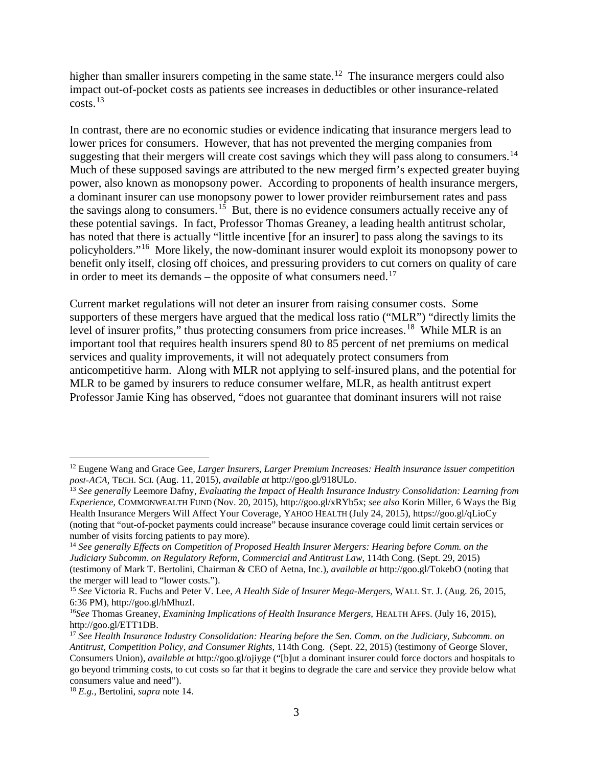higher than smaller insurers competing in the same state.<sup>12</sup> The insurance mergers could also impact out-of-pocket costs as patients see increases in deductibles or other insurance-related  $costs.<sup>13</sup>$  $costs.<sup>13</sup>$  $costs.<sup>13</sup>$ 

In contrast, there are no economic studies or evidence indicating that insurance mergers lead to lower prices for consumers. However, that has not prevented the merging companies from suggesting that their mergers will create cost savings which they will pass along to consumers.<sup>14</sup> Much of these supposed savings are attributed to the new merged firm's expected greater buying power, also known as monopsony power. According to proponents of health insurance mergers, a dominant insurer can use monopsony power to lower provider reimbursement rates and pass the savings along to consumers.<sup>15</sup> But, there is no evidence consumers actually receive any of these potential savings. In fact, Professor Thomas Greaney, a leading health antitrust scholar, has noted that there is actually "little incentive [for an insurer] to pass along the savings to its policyholders."[16](#page-2-4) More likely, the now-dominant insurer would exploit its monopsony power to benefit only itself, closing off choices, and pressuring providers to cut corners on quality of care in order to meet its demands – the opposite of what consumers need.<sup>[17](#page-2-5)</sup>

Current market regulations will not deter an insurer from raising consumer costs. Some supporters of these mergers have argued that the medical loss ratio ("MLR") "directly limits the level of insurer profits," thus protecting consumers from price increases.<sup>[18](#page-2-6)</sup> While MLR is an important tool that requires health insurers spend 80 to 85 percent of net premiums on medical services and quality improvements, it will not adequately protect consumers from anticompetitive harm. Along with MLR not applying to self-insured plans, and the potential for MLR to be gamed by insurers to reduce consumer welfare, MLR, as health antitrust expert Professor Jamie King has observed, "does not guarantee that dominant insurers will not raise

<span id="page-2-0"></span> <sup>12</sup> Eugene Wang and Grace Gee, *Larger Insurers, Larger Premium Increases: Health insurance issuer competition post-ACA*, TECH. SCI. (Aug. 11, 2015), *available at* http://goo.gl/918ULo.

<span id="page-2-1"></span><sup>13</sup> *See generally* Leemore Dafny, *Evaluating the Impact of Health Insurance Industry Consolidation: Learning from Experience*, COMMONWEALTH FUND (Nov. 20, 2015), http://goo.gl/xRYb5x; *see also* Korin Miller, 6 Ways the Big Health Insurance Mergers Will Affect Your Coverage, YAHOO HEALTH (July 24, 2015), https://goo.gl/qLioCy (noting that "out-of-pocket payments could increase" because insurance coverage could limit certain services or number of visits forcing patients to pay more).

<span id="page-2-2"></span><sup>14</sup> *See generally Effects on Competition of Proposed Health Insurer Mergers: Hearing before Comm. on the Judiciary Subcomm. on Regulatory Reform, Commercial and Antitrust Law*, 114th Cong. (Sept. 29, 2015) (testimony of Mark T. Bertolini, Chairman & CEO of Aetna, Inc.), *available at* http://goo.gl/TokebO (noting that the merger will lead to "lower costs.").

<span id="page-2-3"></span><sup>15</sup> *See* Victoria R. Fuchs and Peter V. Lee, *A Health Side of Insurer Mega-Mergers*, WALL ST. J. (Aug. 26, 2015, 6:36 PM), http://goo.gl/hMhuzI.

<span id="page-2-4"></span><sup>16</sup>*See* Thomas Greaney, *Examining Implications of Health Insurance Mergers*, HEALTH AFFS. (July 16, 2015), http://goo.gl/ETT1DB.

<span id="page-2-5"></span><sup>17</sup> *See Health Insurance Industry Consolidation: Hearing before the Sen. Comm. on the Judiciary, Subcomm. on Antitrust, Competition Policy, and Consumer Rights*, 114th Cong. (Sept. 22, 2015) (testimony of George Slover, Consumers Union), *available at* http://goo.gl/ojiyge ("[b]ut a dominant insurer could force doctors and hospitals to go beyond trimming costs, to cut costs so far that it begins to degrade the care and service they provide below what consumers value and need").

<span id="page-2-6"></span><sup>18</sup> *E.g.,* Bertolini, *supra* note 14.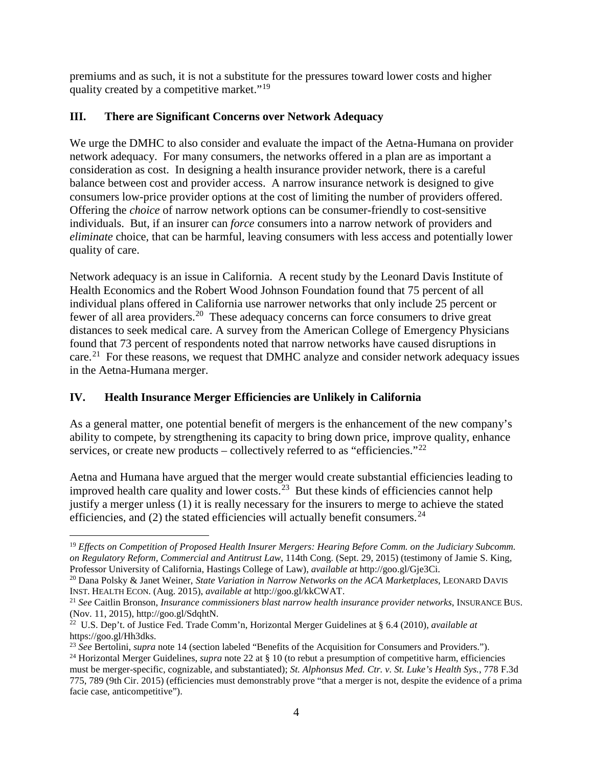premiums and as such, it is not a substitute for the pressures toward lower costs and higher quality created by a competitive market."<sup>[19](#page-3-0)</sup>

## **III. There are Significant Concerns over Network Adequacy**

We urge the DMHC to also consider and evaluate the impact of the Aetna-Humana on provider network adequacy. For many consumers, the networks offered in a plan are as important a consideration as cost. In designing a health insurance provider network, there is a careful balance between cost and provider access. A narrow insurance network is designed to give consumers low-price provider options at the cost of limiting the number of providers offered. Offering the *choice* of narrow network options can be consumer-friendly to cost-sensitive individuals. But, if an insurer can *force* consumers into a narrow network of providers and *eliminate* choice, that can be harmful, leaving consumers with less access and potentially lower quality of care.

Network adequacy is an issue in California. A recent study by the Leonard Davis Institute of Health Economics and the Robert Wood Johnson Foundation found that 75 percent of all individual plans offered in California use narrower networks that only include 25 percent or fewer of all area providers.[20](#page-3-1) These adequacy concerns can force consumers to drive great distances to seek medical care. A survey from the American College of Emergency Physicians found that 73 percent of respondents noted that narrow networks have caused disruptions in care.<sup>21</sup> For these reasons, we request that DMHC analyze and consider network adequacy issues in the Aetna-Humana merger.

# **IV. Health Insurance Merger Efficiencies are Unlikely in California**

As a general matter, one potential benefit of mergers is the enhancement of the new company's ability to compete, by strengthening its capacity to bring down price, improve quality, enhance services, or create new products – collectively referred to as "efficiencies."<sup>22</sup>

Aetna and Humana have argued that the merger would create substantial efficiencies leading to improved health care quality and lower costs.<sup>[23](#page-3-4)</sup> But these kinds of efficiencies cannot help justify a merger unless (1) it is really necessary for the insurers to merge to achieve the stated efficiencies, and  $(2)$  the stated efficiencies will actually benefit consumers.<sup>24</sup>

<span id="page-3-0"></span> <sup>19</sup> *Effects on Competition of Proposed Health Insurer Mergers: Hearing Before Comm. on the Judiciary Subcomm. on Regulatory Reform, Commercial and Antitrust Law*, 114th Cong. (Sept. 29, 2015) (testimony of Jamie S. King, Professor University of California, Hastings College of Law), *available at* http://goo.gl/Gje3Ci.

<span id="page-3-1"></span><sup>&</sup>lt;sup>20</sup> Dana Polsky & Janet Weiner, *State Variation in Narrow Networks on the ACA Marketplaces*, LEONARD DAVIS INST. HEALTH ECON. (Aug. 2015), *available at http://goo.gl/kkCWAT*.

<span id="page-3-2"></span><sup>&</sup>lt;sup>21</sup> See Caitlin Bronson, *Insurance commissioners blast narrow health insurance provider networks*, INSURANCE BUS. (Nov. 11, 2015), http://goo.gl/SdqhtN.

<span id="page-3-3"></span><sup>22</sup> U.S. Dep't. of Justice Fed. Trade Comm'n, Horizontal Merger Guidelines at § 6.4 (2010), *available at*  https://goo.gl/Hh3dks.

<span id="page-3-4"></span><sup>23</sup> *See* Bertolini, *supra* note 14 (section labeled "Benefits of the Acquisition for Consumers and Providers.").

<span id="page-3-5"></span><sup>24</sup> Horizontal Merger Guidelines, *supra* note 22 at § 10 (to rebut a presumption of competitive harm, efficiencies must be merger-specific, cognizable, and substantiated); *St. Alphonsus Med. Ctr. v. St. Luke's Health Sys.*, 778 F.3d 775, 789 (9th Cir. 2015) (efficiencies must demonstrably prove "that a merger is not, despite the evidence of a prima facie case, anticompetitive").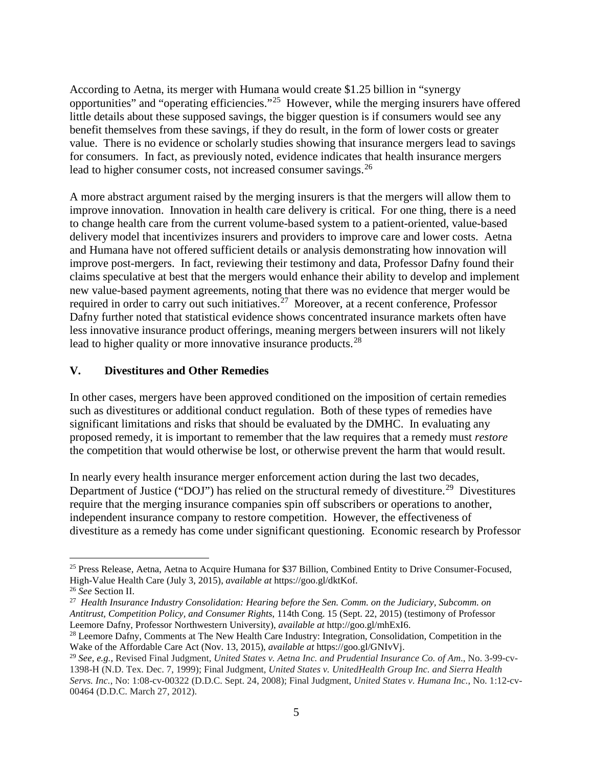According to Aetna, its merger with Humana would create \$1.25 billion in "synergy opportunities" and "operating efficiencies."[25](#page-4-0) However, while the merging insurers have offered little details about these supposed savings, the bigger question is if consumers would see any benefit themselves from these savings, if they do result, in the form of lower costs or greater value. There is no evidence or scholarly studies showing that insurance mergers lead to savings for consumers. In fact, as previously noted, evidence indicates that health insurance mergers lead to higher consumer costs, not increased consumer savings.<sup>26</sup>

A more abstract argument raised by the merging insurers is that the mergers will allow them to improve innovation. Innovation in health care delivery is critical. For one thing, there is a need to change health care from the current volume-based system to a patient-oriented, value-based delivery model that incentivizes insurers and providers to improve care and lower costs. Aetna and Humana have not offered sufficient details or analysis demonstrating how innovation will improve post-mergers. In fact, reviewing their testimony and data, Professor Dafny found their claims speculative at best that the mergers would enhance their ability to develop and implement new value-based payment agreements, noting that there was no evidence that merger would be required in order to carry out such initiatives.<sup>27</sup> Moreover, at a recent conference, Professor Dafny further noted that statistical evidence shows concentrated insurance markets often have less innovative insurance product offerings, meaning mergers between insurers will not likely lead to higher quality or more innovative insurance products.<sup>[28](#page-4-3)</sup>

### **V. Divestitures and Other Remedies**

In other cases, mergers have been approved conditioned on the imposition of certain remedies such as divestitures or additional conduct regulation. Both of these types of remedies have significant limitations and risks that should be evaluated by the DMHC. In evaluating any proposed remedy, it is important to remember that the law requires that a remedy must *restore* the competition that would otherwise be lost, or otherwise prevent the harm that would result.

In nearly every health insurance merger enforcement action during the last two decades, Department of Justice ("DOJ") has relied on the structural remedy of divestiture.<sup>[29](#page-4-4)</sup> Divestitures require that the merging insurance companies spin off subscribers or operations to another, independent insurance company to restore competition. However, the effectiveness of divestiture as a remedy has come under significant questioning. Economic research by Professor

<span id="page-4-0"></span><sup>&</sup>lt;sup>25</sup> Press Release, Aetna, Aetna to Acquire Humana for \$37 Billion, Combined Entity to Drive Consumer-Focused, High-Value Health Care (July 3, 2015), *available at* https://goo.gl/dktKof.

<span id="page-4-2"></span><span id="page-4-1"></span><sup>&</sup>lt;sup>27</sup> *Health Insurance Industry Consolidation: Hearing before the Sen. Comm. on the Judiciary, Subcomm. on Antitrust, Competition Policy, and Consumer Rights*, 114th Cong. 15 (Sept. 22, 2015) (testimony of Professor Leemore Dafny, Professor Northwestern University), *available at* http://goo.gl/mhExI6. 28 Leemore Dafny, Comments at The New Health Care Industry: Integration, Consolidation, Competition in the

<span id="page-4-3"></span>Wake of the Affordable Care Act (Nov. 13, 2015), *available at* https://goo.gl/GNIvVj.

<span id="page-4-4"></span><sup>29</sup> *See, e.g.,* Revised Final Judgment, *United States v. Aetna Inc. and Prudential Insurance Co. of Am*., No. 3-99-cv-1398-H (N.D. Tex. Dec. 7, 1999); Final Judgment, *United States v. UnitedHealth Group Inc. and Sierra Health Servs. Inc.*, No: 1:08-cv-00322 (D.D.C. Sept. 24, 2008); Final Judgment, *United States v. Humana Inc.*, No. 1:12-cv-00464 (D.D.C. March 27, 2012).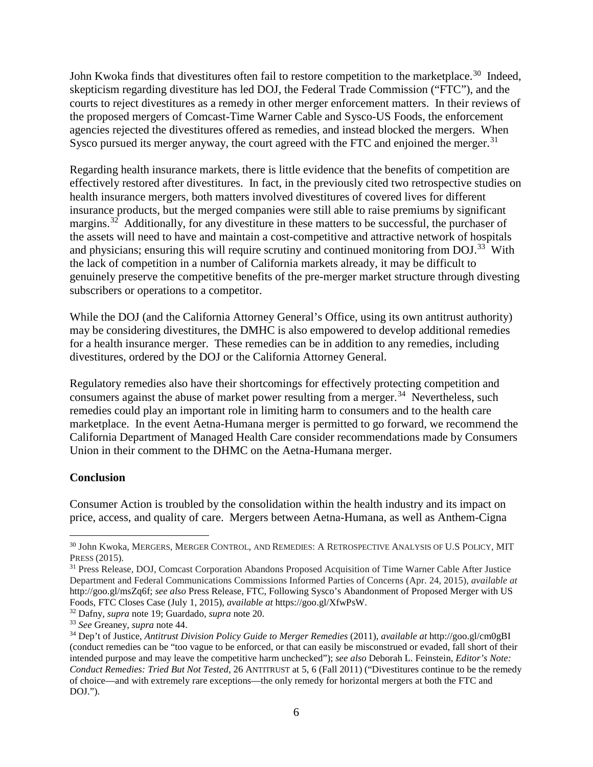John Kwoka finds that divestitures often fail to restore competition to the marketplace.<sup>30</sup> Indeed, skepticism regarding divestiture has led DOJ, the Federal Trade Commission ("FTC"), and the courts to reject divestitures as a remedy in other merger enforcement matters. In their reviews of the proposed mergers of Comcast-Time Warner Cable and Sysco-US Foods, the enforcement agencies rejected the divestitures offered as remedies, and instead blocked the mergers. When Sysco pursued its merger anyway, the court agreed with the FTC and enjoined the merger.<sup>31</sup>

Regarding health insurance markets, there is little evidence that the benefits of competition are effectively restored after divestitures. In fact, in the previously cited two retrospective studies on health insurance mergers, both matters involved divestitures of covered lives for different insurance products, but the merged companies were still able to raise premiums by significant margins.<sup>[32](#page-5-2)</sup> Additionally, for any divestiture in these matters to be successful, the purchaser of the assets will need to have and maintain a cost-competitive and attractive network of hospitals and physicians; ensuring this will require scrutiny and continued monitoring from DOJ.<sup>[33](#page-5-3)</sup> With the lack of competition in a number of California markets already, it may be difficult to genuinely preserve the competitive benefits of the pre-merger market structure through divesting subscribers or operations to a competitor.

While the DOJ (and the California Attorney General's Office, using its own antitrust authority) may be considering divestitures, the DMHC is also empowered to develop additional remedies for a health insurance merger. These remedies can be in addition to any remedies, including divestitures, ordered by the DOJ or the California Attorney General.

Regulatory remedies also have their shortcomings for effectively protecting competition and consumers against the abuse of market power resulting from a merger.<sup>[34](#page-5-4)</sup> Nevertheless, such remedies could play an important role in limiting harm to consumers and to the health care marketplace. In the event Aetna-Humana merger is permitted to go forward, we recommend the California Department of Managed Health Care consider recommendations made by Consumers Union in their comment to the DHMC on the Aetna-Humana merger.

#### **Conclusion**

Consumer Action is troubled by the consolidation within the health industry and its impact on price, access, and quality of care. Mergers between Aetna-Humana, as well as Anthem-Cigna

<span id="page-5-2"></span>

<span id="page-5-0"></span> $^{30}$  John Kwoka, MERGERS, MERGER CONTROL, AND REMEDIES: A RETROSPECTIVE ANALYSIS OF U.S POLICY, MIT PRESS (2015).

<span id="page-5-1"></span><sup>&</sup>lt;sup>31</sup> Press Release, DOJ, Comcast Corporation Abandons Proposed Acquisition of Time Warner Cable After Justice Department and Federal Communications Commissions Informed Parties of Concerns (Apr. 24, 2015), *available at*  http://goo.gl/msZq6f; *see also* Press Release, FTC, Following Sysco's Abandonment of Proposed Merger with US Foods, FTC Closes Case (July 1, 2015), *available at* https://goo.gl/XfwPsW. 32 Dafny, *supra* note 19; Guardado, *supra* note 20.

<span id="page-5-3"></span><sup>33</sup> *See* Greaney, *supra* note 44.

<span id="page-5-4"></span><sup>34</sup> Dep't of Justice, *Antitrust Division Policy Guide to Merger Remedies* (2011), *available at* http://goo.gl/cm0gBI (conduct remedies can be "too vague to be enforced, or that can easily be misconstrued or evaded, fall short of their intended purpose and may leave the competitive harm unchecked"); *see also* Deborah L. Feinstein, *Editor's Note: Conduct Remedies: Tried But Not Tested*, 26 ANTITRUST at 5, 6 (Fall 2011) ("Divestitures continue to be the remedy of choice—and with extremely rare exceptions—the only remedy for horizontal mergers at both the FTC and DOJ.").